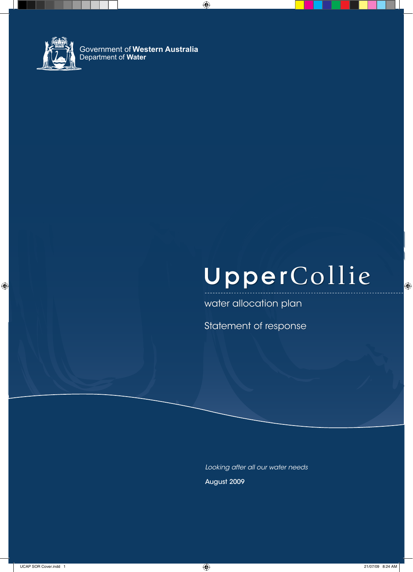

# UpperCollie

water allocation plan

Statement of response

*Looking after all our water needs* August 2009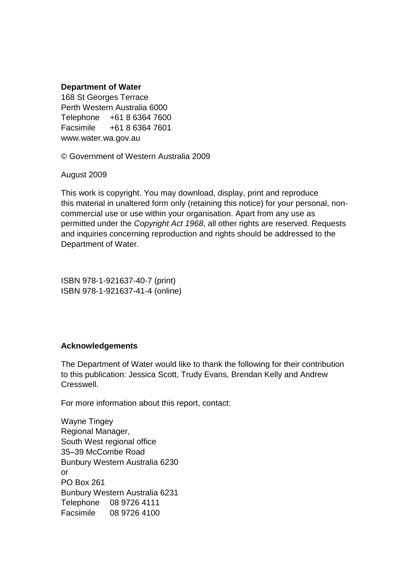#### **Department of Water**

168 St Georges Terrace Perth Western Australia 6000 Telephone +61 8 6364 7600 Facsimile +61 8 6364 7601 www.water.wa.gov.au

© Government of Western Australia 2009

August 2009

This work is copyright. You may download, display, print and reproduce this material in unaltered form only (retaining this notice) for your personal, noncommercial use or use within your organisation. Apart from any use as permitted under the Copyright Act 1968, all other rights are reserved. Requests and inquiries concerning reproduction and rights should be addressed to the Department of Water.

ISBN 978-1-921637-40-7 (print) ISBN 978-1-921637-41-4 (online)

#### **Acknowledgements**

The Department of Water would like to thank the following for their contribution to this publication: Jessica Scott, Trudy Evans, Brendan Kelly and Andrew Cresswell.

For more information about this report, contact:

Wayne Tingey Regional Manager, South West regional office 35–39 McCombe Road Bunbury Western Australia 6230 or PO Box 261 Bunbury Western Australia 6231 Telephone 08 9726 4111 Facsimile 08 9726 4100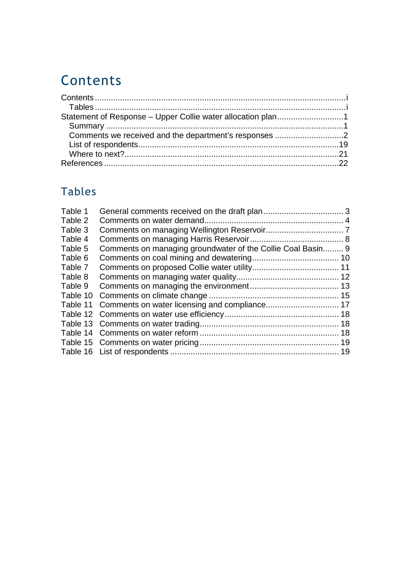# Contents

| Statement of Response - Upper Collie water allocation plan1 |  |
|-------------------------------------------------------------|--|
|                                                             |  |
|                                                             |  |
|                                                             |  |
|                                                             |  |
|                                                             |  |

# Tables

| Table 1  |                                                             |  |
|----------|-------------------------------------------------------------|--|
| Table 2  |                                                             |  |
| Table 3  |                                                             |  |
| Table 4  |                                                             |  |
| Table 5  | Comments on managing groundwater of the Collie Coal Basin 9 |  |
| Table 6  |                                                             |  |
| Table 7  |                                                             |  |
| Table 8  |                                                             |  |
| Table 9  |                                                             |  |
| Table 10 |                                                             |  |
| Table 11 |                                                             |  |
|          |                                                             |  |
|          |                                                             |  |
|          |                                                             |  |
|          |                                                             |  |
|          |                                                             |  |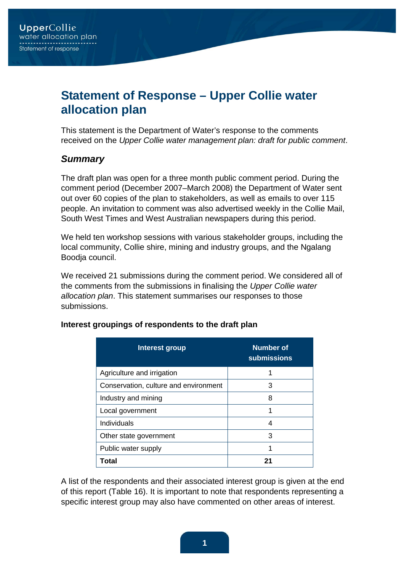## **Statement of Response – Upper Collie water allocation plan**

This statement is the Department of Water's response to the comments received on the Upper Collie water management plan: draft for public comment.

#### **Summary**

The draft plan was open for a three month public comment period. During the comment period (December 2007–March 2008) the Department of Water sent out over 60 copies of the plan to stakeholders, as well as emails to over 115 people. An invitation to comment was also advertised weekly in the Collie Mail, South West Times and West Australian newspapers during this period.

We held ten workshop sessions with various stakeholder groups, including the local community, Collie shire, mining and industry groups, and the Ngalang Boodja council.

We received 21 submissions during the comment period. We considered all of the comments from the submissions in finalising the Upper Collie water allocation plan. This statement summarises our responses to those submissions.

| Interest group                        | Number of<br><b>submissions</b> |
|---------------------------------------|---------------------------------|
| Agriculture and irrigation            | 1                               |
| Conservation, culture and environment | 3                               |
| Industry and mining                   | 8                               |
| Local government                      | 1                               |
| Individuals                           | 4                               |
| Other state government                | 3                               |
| Public water supply                   | 1                               |
| Total                                 | 21                              |

#### **Interest groupings of respondents to the draft plan**

A list of the respondents and their associated interest group is given at the end of this report (Table 16). It is important to note that respondents representing a specific interest group may also have commented on other areas of interest.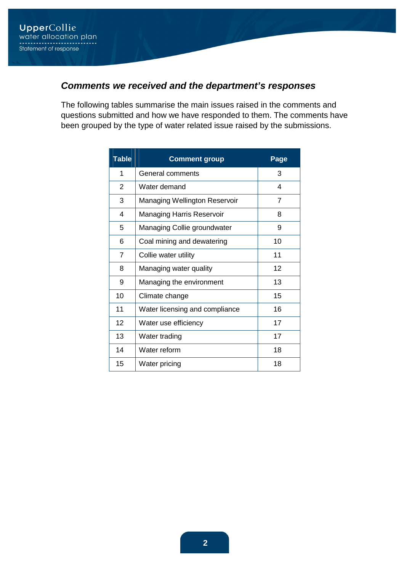## **Comments we received and the department's responses**

The following tables summarise the main issues raised in the comments and questions submitted and how we have responded to them. The comments have been grouped by the type of water related issue raised by the submissions.

| <b>Table</b>   | <b>Comment group</b>                 | Page |
|----------------|--------------------------------------|------|
| 1              | General comments                     | 3    |
| 2              | Water demand                         | 4    |
| 3              | <b>Managing Wellington Reservoir</b> | 7    |
| 4              | <b>Managing Harris Reservoir</b>     | 8    |
| 5              | Managing Collie groundwater          | 9    |
| 6              | Coal mining and dewatering           | 10   |
| $\overline{7}$ | Collie water utility                 | 11   |
| 8              | Managing water quality               | 12   |
| 9              | Managing the environment             | 13   |
| 10             | Climate change                       | 15   |
| 11             | Water licensing and compliance       | 16   |
| 12             | Water use efficiency                 | 17   |
| 13             | Water trading                        | 17   |
| 14             | Water reform                         | 18   |
| 15             | Water pricing                        | 18   |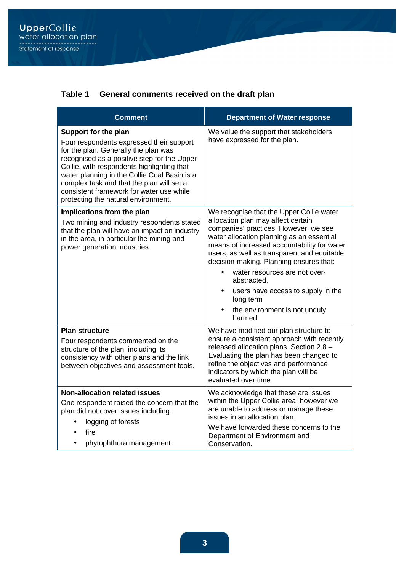#### **Table 1 General comments received on the draft plan**

| <b>Comment</b>                                                                                                                                                                                                                                                                                                                                                                        | <b>Department of Water response</b>                                                                                                                                                                                                                                                                                                                                                                                                                                       |
|---------------------------------------------------------------------------------------------------------------------------------------------------------------------------------------------------------------------------------------------------------------------------------------------------------------------------------------------------------------------------------------|---------------------------------------------------------------------------------------------------------------------------------------------------------------------------------------------------------------------------------------------------------------------------------------------------------------------------------------------------------------------------------------------------------------------------------------------------------------------------|
| Support for the plan<br>Four respondents expressed their support<br>for the plan. Generally the plan was<br>recognised as a positive step for the Upper<br>Collie, with respondents highlighting that<br>water planning in the Collie Coal Basin is a<br>complex task and that the plan will set a<br>consistent framework for water use while<br>protecting the natural environment. | We value the support that stakeholders<br>have expressed for the plan.                                                                                                                                                                                                                                                                                                                                                                                                    |
| Implications from the plan<br>Two mining and industry respondents stated<br>that the plan will have an impact on industry<br>in the area, in particular the mining and<br>power generation industries.                                                                                                                                                                                | We recognise that the Upper Collie water<br>allocation plan may affect certain<br>companies' practices. However, we see<br>water allocation planning as an essential<br>means of increased accountability for water<br>users, as well as transparent and equitable<br>decision-making. Planning ensures that:<br>water resources are not over-<br>abstracted,<br>users have access to supply in the<br>$\bullet$<br>long term<br>the environment is not unduly<br>harmed. |
| <b>Plan structure</b><br>Four respondents commented on the<br>structure of the plan, including its<br>consistency with other plans and the link<br>between objectives and assessment tools.                                                                                                                                                                                           | We have modified our plan structure to<br>ensure a consistent approach with recently<br>released allocation plans. Section 2.8 -<br>Evaluating the plan has been changed to<br>refine the objectives and performance<br>indicators by which the plan will be<br>evaluated over time.                                                                                                                                                                                      |
| <b>Non-allocation related issues</b><br>One respondent raised the concern that the<br>plan did not cover issues including:<br>logging of forests<br>fire<br>phytophthora management.                                                                                                                                                                                                  | We acknowledge that these are issues<br>within the Upper Collie area; however we<br>are unable to address or manage these<br>issues in an allocation plan.<br>We have forwarded these concerns to the<br>Department of Environment and<br>Conservation.                                                                                                                                                                                                                   |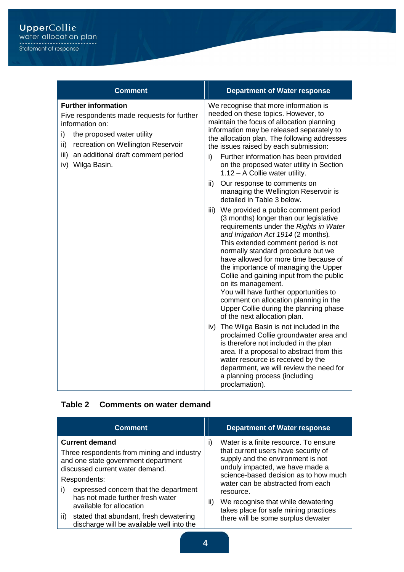| <b>Comment</b>                                                                                                                                                                                                                                    | <b>Department of Water response</b>                                                                                                                                                                                                                                                                                                                                                                                                                                                                                                                              |
|---------------------------------------------------------------------------------------------------------------------------------------------------------------------------------------------------------------------------------------------------|------------------------------------------------------------------------------------------------------------------------------------------------------------------------------------------------------------------------------------------------------------------------------------------------------------------------------------------------------------------------------------------------------------------------------------------------------------------------------------------------------------------------------------------------------------------|
| <b>Further information</b><br>Five respondents made requests for further<br>information on:<br>i)<br>the proposed water utility<br>ii)<br>recreation on Wellington Reservoir<br>iii)<br>an additional draft comment period<br>Wilga Basin.<br>iv) | We recognise that more information is<br>needed on these topics. However, to<br>maintain the focus of allocation planning<br>information may be released separately to<br>the allocation plan. The following addresses<br>the issues raised by each submission:<br>Further information has been provided<br>i)<br>on the proposed water utility in Section<br>1.12 - A Collie water utility.                                                                                                                                                                     |
|                                                                                                                                                                                                                                                   | ii)<br>Our response to comments on<br>managing the Wellington Reservoir is<br>detailed in Table 3 below.                                                                                                                                                                                                                                                                                                                                                                                                                                                         |
|                                                                                                                                                                                                                                                   | iii) We provided a public comment period<br>(3 months) longer than our legislative<br>requirements under the Rights in Water<br>and Irrigation Act 1914 (2 months).<br>This extended comment period is not<br>normally standard procedure but we<br>have allowed for more time because of<br>the importance of managing the Upper<br>Collie and gaining input from the public<br>on its management.<br>You will have further opportunities to<br>comment on allocation planning in the<br>Upper Collie during the planning phase<br>of the next allocation plan. |
|                                                                                                                                                                                                                                                   | iv) The Wilga Basin is not included in the<br>proclaimed Collie groundwater area and<br>is therefore not included in the plan<br>area. If a proposal to abstract from this<br>water resource is received by the<br>department, we will review the need for<br>a planning process (including<br>proclamation).                                                                                                                                                                                                                                                    |

#### **Table 2 Comments on water demand**

| <b>Comment</b>                                                                                                                                                                                                                                                                                                                                                             | <b>Department of Water response</b>                                                                                                                                                                                                                                                                                                                                                    |
|----------------------------------------------------------------------------------------------------------------------------------------------------------------------------------------------------------------------------------------------------------------------------------------------------------------------------------------------------------------------------|----------------------------------------------------------------------------------------------------------------------------------------------------------------------------------------------------------------------------------------------------------------------------------------------------------------------------------------------------------------------------------------|
| <b>Current demand</b><br>Three respondents from mining and industry<br>and one state government department<br>discussed current water demand.<br>Respondents:<br>expressed concern that the department<br>i)<br>has not made further fresh water<br>available for allocation<br>stated that abundant, fresh dewatering<br>ii)<br>discharge will be available well into the | Water is a finite resource. To ensure<br>$\vert$<br>that current users have security of<br>supply and the environment is not<br>unduly impacted, we have made a<br>science-based decision as to how much<br>water can be abstracted from each<br>resource.<br>We recognise that while dewatering<br>ii)<br>takes place for safe mining practices<br>there will be some surplus dewater |
|                                                                                                                                                                                                                                                                                                                                                                            |                                                                                                                                                                                                                                                                                                                                                                                        |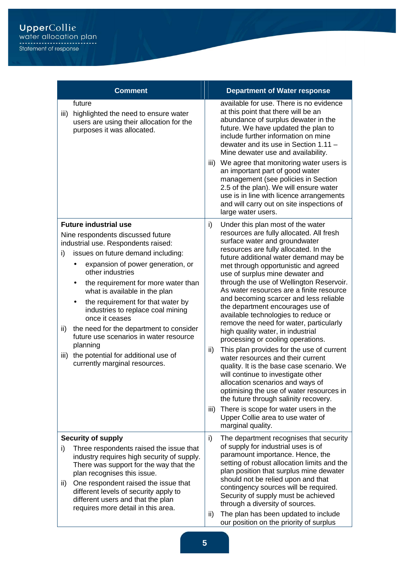|                   | <b>Comment</b>                                                                                                                                                                                                                                                                                                                                                                                                                                                                                                                                            |                   | <b>Department of Water response</b>                                                                                                                                                                                                                                                                                                                                                                                                                                                                                                                                                                                                                                                                                                                                                                                                                                                                                                                                                                            |
|-------------------|-----------------------------------------------------------------------------------------------------------------------------------------------------------------------------------------------------------------------------------------------------------------------------------------------------------------------------------------------------------------------------------------------------------------------------------------------------------------------------------------------------------------------------------------------------------|-------------------|----------------------------------------------------------------------------------------------------------------------------------------------------------------------------------------------------------------------------------------------------------------------------------------------------------------------------------------------------------------------------------------------------------------------------------------------------------------------------------------------------------------------------------------------------------------------------------------------------------------------------------------------------------------------------------------------------------------------------------------------------------------------------------------------------------------------------------------------------------------------------------------------------------------------------------------------------------------------------------------------------------------|
| iii)              | future<br>highlighted the need to ensure water<br>users are using their allocation for the<br>purposes it was allocated.                                                                                                                                                                                                                                                                                                                                                                                                                                  |                   | available for use. There is no evidence<br>at this point that there will be an<br>abundance of surplus dewater in the<br>future. We have updated the plan to<br>include further information on mine<br>dewater and its use in Section 1.11 -<br>Mine dewater use and availability.<br>iii) We agree that monitoring water users is<br>an important part of good water<br>management (see policies in Section<br>2.5 of the plan). We will ensure water<br>use is in line with licence arrangements<br>and will carry out on site inspections of<br>large water users.                                                                                                                                                                                                                                                                                                                                                                                                                                          |
| i)<br>ii)<br>iii) | <b>Future industrial use</b><br>Nine respondents discussed future<br>industrial use. Respondents raised:<br>issues on future demand including:<br>expansion of power generation, or<br>other industries<br>the requirement for more water than<br>what is available in the plan<br>the requirement for that water by<br>٠<br>industries to replace coal mining<br>once it ceases<br>the need for the department to consider<br>future use scenarios in water resource<br>planning<br>the potential for additional use of<br>currently marginal resources. | i)<br>ii)<br>iii) | Under this plan most of the water<br>resources are fully allocated. All fresh<br>surface water and groundwater<br>resources are fully allocated. In the<br>future additional water demand may be<br>met through opportunistic and agreed<br>use of surplus mine dewater and<br>through the use of Wellington Reservoir.<br>As water resources are a finite resource<br>and becoming scarcer and less reliable<br>the department encourages use of<br>available technologies to reduce or<br>remove the need for water, particularly<br>high quality water, in industrial<br>processing or cooling operations.<br>This plan provides for the use of current<br>water resources and their current<br>quality. It is the base case scenario. We<br>will continue to investigate other<br>allocation scenarios and ways of<br>optimising the use of water resources in<br>the future through salinity recovery.<br>There is scope for water users in the<br>Upper Collie area to use water of<br>marginal quality. |
| i)<br>ii)         | <b>Security of supply</b><br>Three respondents raised the issue that<br>industry requires high security of supply.<br>There was support for the way that the<br>plan recognises this issue.<br>One respondent raised the issue that<br>different levels of security apply to<br>different users and that the plan                                                                                                                                                                                                                                         | i)                | The department recognises that security<br>of supply for industrial uses is of<br>paramount importance. Hence, the<br>setting of robust allocation limits and the<br>plan position that surplus mine dewater<br>should not be relied upon and that<br>contingency sources will be required.<br>Security of supply must be achieved                                                                                                                                                                                                                                                                                                                                                                                                                                                                                                                                                                                                                                                                             |
|                   | requires more detail in this area.                                                                                                                                                                                                                                                                                                                                                                                                                                                                                                                        | ii)               | through a diversity of sources.<br>The plan has been updated to include<br>our position on the priority of surplus                                                                                                                                                                                                                                                                                                                                                                                                                                                                                                                                                                                                                                                                                                                                                                                                                                                                                             |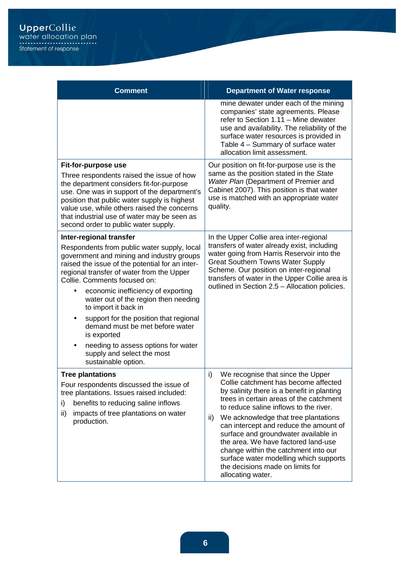| <b>Comment</b>                                                                                                                                                                                                                                                                                                                                                                                                                                                                                                                                         | <b>Department of Water response</b>                                                                                                                                                                                                                                                                                                                                                                                                                                                                                                   |
|--------------------------------------------------------------------------------------------------------------------------------------------------------------------------------------------------------------------------------------------------------------------------------------------------------------------------------------------------------------------------------------------------------------------------------------------------------------------------------------------------------------------------------------------------------|---------------------------------------------------------------------------------------------------------------------------------------------------------------------------------------------------------------------------------------------------------------------------------------------------------------------------------------------------------------------------------------------------------------------------------------------------------------------------------------------------------------------------------------|
|                                                                                                                                                                                                                                                                                                                                                                                                                                                                                                                                                        | mine dewater under each of the mining<br>companies' state agreements. Please<br>refer to Section 1.11 - Mine dewater<br>use and availability. The reliability of the<br>surface water resources is provided in<br>Table 4 - Summary of surface water<br>allocation limit assessment.                                                                                                                                                                                                                                                  |
| Fit-for-purpose use<br>Three respondents raised the issue of how<br>the department considers fit-for-purpose<br>use. One was in support of the department's<br>position that public water supply is highest<br>value use, while others raised the concerns<br>that industrial use of water may be seen as<br>second order to public water supply.                                                                                                                                                                                                      | Our position on fit-for-purpose use is the<br>same as the position stated in the State<br>Water Plan (Department of Premier and<br>Cabinet 2007). This position is that water<br>use is matched with an appropriate water<br>quality.                                                                                                                                                                                                                                                                                                 |
| Inter-regional transfer<br>Respondents from public water supply, local<br>government and mining and industry groups<br>raised the issue of the potential for an inter-<br>regional transfer of water from the Upper<br>Collie. Comments focused on:<br>economic inefficiency of exporting<br>water out of the region then needing<br>to import it back in<br>support for the position that regional<br>٠<br>demand must be met before water<br>is exported<br>needing to assess options for water<br>supply and select the most<br>sustainable option. | In the Upper Collie area inter-regional<br>transfers of water already exist, including<br>water going from Harris Reservoir into the<br><b>Great Southern Towns Water Supply</b><br>Scheme. Our position on inter-regional<br>transfers of water in the Upper Collie area is<br>outlined in Section 2.5 - Allocation policies.                                                                                                                                                                                                        |
| <b>Tree plantations</b><br>Four respondents discussed the issue of<br>tree plantations. Issues raised included:<br>benefits to reducing saline inflows<br>i)<br>ii)<br>impacts of tree plantations on water<br>production.                                                                                                                                                                                                                                                                                                                             | i)<br>We recognise that since the Upper<br>Collie catchment has become affected<br>by salinity there is a benefit in planting<br>trees in certain areas of the catchment<br>to reduce saline inflows to the river.<br>We acknowledge that tree plantations<br>ii)<br>can intercept and reduce the amount of<br>surface and groundwater available in<br>the area. We have factored land-use<br>change within the catchment into our<br>surface water modelling which supports<br>the decisions made on limits for<br>allocating water. |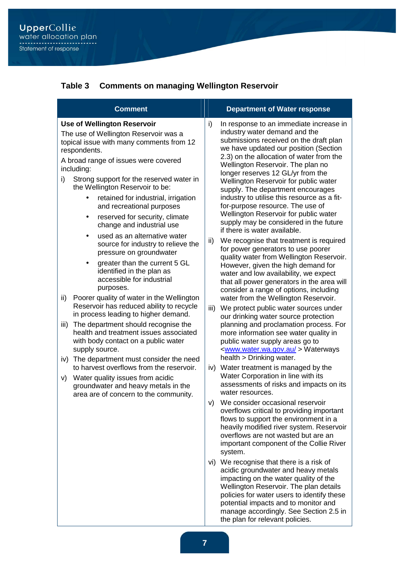#### **Table 3 Comments on managing Wellington Reservoir**

| <b>Comment</b>                                                                                                                                                                                                                                                                                                                                                                                                                                                                                                                                                                                                                                                                                                                                                                                                                                                                                                                                                                                                                                                                                                                                                                     | <b>Department of Water response</b>                                                                                                                                                                                                                                                                                                                                                                                                                                                                                                                                                                                                                                                                                                                                                                                                                                                                                                                                                                                                                                                                                                                                                                                                                                                                                                                                                                                                                                                                                                                                                                                                                                                                                                                                                                                                                                                                                                                                                                                        |
|------------------------------------------------------------------------------------------------------------------------------------------------------------------------------------------------------------------------------------------------------------------------------------------------------------------------------------------------------------------------------------------------------------------------------------------------------------------------------------------------------------------------------------------------------------------------------------------------------------------------------------------------------------------------------------------------------------------------------------------------------------------------------------------------------------------------------------------------------------------------------------------------------------------------------------------------------------------------------------------------------------------------------------------------------------------------------------------------------------------------------------------------------------------------------------|----------------------------------------------------------------------------------------------------------------------------------------------------------------------------------------------------------------------------------------------------------------------------------------------------------------------------------------------------------------------------------------------------------------------------------------------------------------------------------------------------------------------------------------------------------------------------------------------------------------------------------------------------------------------------------------------------------------------------------------------------------------------------------------------------------------------------------------------------------------------------------------------------------------------------------------------------------------------------------------------------------------------------------------------------------------------------------------------------------------------------------------------------------------------------------------------------------------------------------------------------------------------------------------------------------------------------------------------------------------------------------------------------------------------------------------------------------------------------------------------------------------------------------------------------------------------------------------------------------------------------------------------------------------------------------------------------------------------------------------------------------------------------------------------------------------------------------------------------------------------------------------------------------------------------------------------------------------------------------------------------------------------------|
| <b>Use of Wellington Reservoir</b><br>The use of Wellington Reservoir was a<br>topical issue with many comments from 12<br>respondents.<br>A broad range of issues were covered<br>including:<br>Strong support for the reserved water in<br>i)<br>the Wellington Reservoir to be:<br>retained for industrial, irrigation<br>$\bullet$<br>and recreational purposes<br>reserved for security, climate<br>٠<br>change and industrial use<br>used as an alternative water<br>$\bullet$<br>source for industry to relieve the<br>pressure on groundwater<br>greater than the current 5 GL<br>٠<br>identified in the plan as<br>accessible for industrial<br>purposes.<br>Poorer quality of water in the Wellington<br>ii)<br>Reservoir has reduced ability to recycle<br>in process leading to higher demand.<br>The department should recognise the<br>iii)<br>health and treatment issues associated<br>with body contact on a public water<br>supply source.<br>The department must consider the need<br>iv)<br>to harvest overflows from the reservoir.<br>Water quality issues from acidic<br>V)<br>groundwater and heavy metals in the<br>area are of concern to the community. | i)<br>In response to an immediate increase in<br>industry water demand and the<br>submissions received on the draft plan<br>we have updated our position (Section<br>2.3) on the allocation of water from the<br>Wellington Reservoir. The plan no<br>longer reserves 12 GL/yr from the<br>Wellington Reservoir for public water<br>supply. The department encourages<br>industry to utilise this resource as a fit-<br>for-purpose resource. The use of<br>Wellington Reservoir for public water<br>supply may be considered in the future<br>if there is water available.<br>ii)<br>We recognise that treatment is required<br>for power generators to use poorer<br>quality water from Wellington Reservoir.<br>However, given the high demand for<br>water and low availability, we expect<br>that all power generators in the area will<br>consider a range of options, including<br>water from the Wellington Reservoir.<br>iii)<br>We protect public water sources under<br>our drinking water source protection<br>planning and proclamation process. For<br>more information see water quality in<br>public water supply areas go to<br><www.water.wa.gov.au> Waterways<br/>health &gt; Drinking water.<br/>Water treatment is managed by the<br/>iv)<br/>Water Corporation in line with its<br/>assessments of risks and impacts on its<br/>water resources.<br/>v) We consider occasional reservoir<br/>overflows critical to providing important<br/>flows to support the environment in a<br/>heavily modified river system. Reservoir<br/>overflows are not wasted but are an<br/>important component of the Collie River<br/>system.<br/>vi) We recognise that there is a risk of<br/>acidic groundwater and heavy metals<br/>impacting on the water quality of the<br/>Wellington Reservoir. The plan details<br/>policies for water users to identify these<br/>potential impacts and to monitor and<br/>manage accordingly. See Section 2.5 in<br/>the plan for relevant policies.</www.water.wa.gov.au> |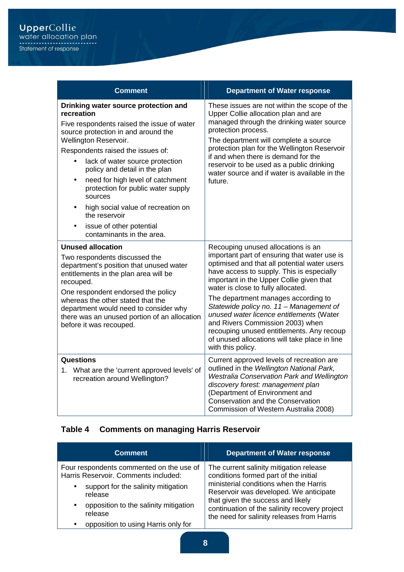| <b>Comment</b>                                                                                                                                                                                                                                                                                                                                                                                                                                                                                                        | <b>Department of Water response</b>                                                                                                                                                                                                                                                                                                                                                                                                                                                                                                                    |
|-----------------------------------------------------------------------------------------------------------------------------------------------------------------------------------------------------------------------------------------------------------------------------------------------------------------------------------------------------------------------------------------------------------------------------------------------------------------------------------------------------------------------|--------------------------------------------------------------------------------------------------------------------------------------------------------------------------------------------------------------------------------------------------------------------------------------------------------------------------------------------------------------------------------------------------------------------------------------------------------------------------------------------------------------------------------------------------------|
| Drinking water source protection and<br>recreation<br>Five respondents raised the issue of water<br>source protection in and around the<br>Wellington Reservoir.<br>Respondents raised the issues of:<br>lack of water source protection<br>policy and detail in the plan<br>need for high level of catchment<br>$\bullet$<br>protection for public water supply<br>sources<br>high social value of recreation on<br>$\bullet$<br>the reservoir<br>issue of other potential<br>$\bullet$<br>contaminants in the area. | These issues are not within the scope of the<br>Upper Collie allocation plan and are<br>managed through the drinking water source<br>protection process.<br>The department will complete a source<br>protection plan for the Wellington Reservoir<br>if and when there is demand for the<br>reservoir to be used as a public drinking<br>water source and if water is available in the<br>future.                                                                                                                                                      |
| <b>Unused allocation</b><br>Two respondents discussed the<br>department's position that unused water<br>entitlements in the plan area will be<br>recouped.<br>One respondent endorsed the policy<br>whereas the other stated that the<br>department would need to consider why<br>there was an unused portion of an allocation<br>before it was recouped.                                                                                                                                                             | Recouping unused allocations is an<br>important part of ensuring that water use is<br>optimised and that all potential water users<br>have access to supply. This is especially<br>important in the Upper Collie given that<br>water is close to fully allocated.<br>The department manages according to<br>Statewide policy no. 11 - Management of<br>unused water licence entitlements (Water<br>and Rivers Commission 2003) when<br>recouping unused entitlements. Any recoup<br>of unused allocations will take place in line<br>with this policy. |
| <b>Questions</b><br>1. What are the 'current approved levels' of<br>recreation around Wellington?                                                                                                                                                                                                                                                                                                                                                                                                                     | Current approved levels of recreation are<br>outlined in the Wellington National Park,<br>Westralia Conservation Park and Wellington<br>discovery forest: management plan<br>(Department of Environment and<br>Conservation and the Conservation<br>Commission of Western Australia 2008)                                                                                                                                                                                                                                                              |

## **Table 4 Comments on managing Harris Reservoir**

| <b>Comment</b>                                                                                                               | <b>Department of Water response</b>                                                                                                                                                                                  |
|------------------------------------------------------------------------------------------------------------------------------|----------------------------------------------------------------------------------------------------------------------------------------------------------------------------------------------------------------------|
| Four respondents commented on the use of<br>Harris Reservoir. Comments included:                                             | The current salinity mitigation release<br>conditions formed part of the initial                                                                                                                                     |
| support for the salinity mitigation<br>$\bullet$<br>release<br>opposition to the salinity mitigation<br>$\bullet$<br>release | ministerial conditions when the Harris<br>Reservoir was developed. We anticipate<br>that given the success and likely<br>continuation of the salinity recovery project<br>the need for salinity releases from Harris |
| opposition to using Harris only for<br>$\bullet$                                                                             |                                                                                                                                                                                                                      |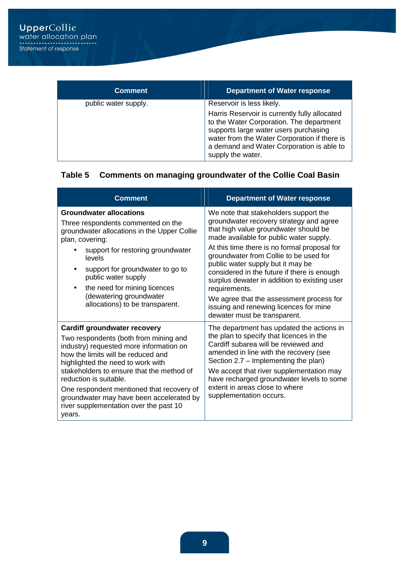| <b>Comment</b>       | <b>Department of Water response</b>                                                                                                                                                                                                                  |
|----------------------|------------------------------------------------------------------------------------------------------------------------------------------------------------------------------------------------------------------------------------------------------|
| public water supply. | Reservoir is less likely.                                                                                                                                                                                                                            |
|                      | Harris Reservoir is currently fully allocated<br>to the Water Corporation. The department<br>supports large water users purchasing<br>water from the Water Corporation if there is<br>a demand and Water Corporation is able to<br>supply the water. |

## **Table 5 Comments on managing groundwater of the Collie Coal Basin**

| <b>Comment</b>                                                                                                                                                                                                                                                                                                                                                                                                         | <b>Department of Water response</b>                                                                                                                                                                                                                                                                                                                                                                                                                                                                                                       |
|------------------------------------------------------------------------------------------------------------------------------------------------------------------------------------------------------------------------------------------------------------------------------------------------------------------------------------------------------------------------------------------------------------------------|-------------------------------------------------------------------------------------------------------------------------------------------------------------------------------------------------------------------------------------------------------------------------------------------------------------------------------------------------------------------------------------------------------------------------------------------------------------------------------------------------------------------------------------------|
| <b>Groundwater allocations</b><br>Three respondents commented on the<br>groundwater allocations in the Upper Collie<br>plan, covering:<br>support for restoring groundwater<br>levels<br>support for groundwater to go to<br>٠<br>public water supply<br>the need for mining licences<br>$\bullet$<br>(dewatering groundwater<br>allocations) to be transparent.                                                       | We note that stakeholders support the<br>groundwater recovery strategy and agree<br>that high value groundwater should be<br>made available for public water supply.<br>At this time there is no formal proposal for<br>groundwater from Collie to be used for<br>public water supply but it may be<br>considered in the future if there is enough<br>surplus dewater in addition to existing user<br>requirements.<br>We agree that the assessment process for<br>issuing and renewing licences for mine<br>dewater must be transparent. |
| <b>Cardiff groundwater recovery</b><br>Two respondents (both from mining and<br>industry) requested more information on<br>how the limits will be reduced and<br>highlighted the need to work with<br>stakeholders to ensure that the method of<br>reduction is suitable.<br>One respondent mentioned that recovery of<br>groundwater may have been accelerated by<br>river supplementation over the past 10<br>years. | The department has updated the actions in<br>the plan to specify that licences in the<br>Cardiff subarea will be reviewed and<br>amended in line with the recovery (see<br>Section 2.7 – Implementing the plan)<br>We accept that river supplementation may<br>have recharged groundwater levels to some<br>extent in areas close to where<br>supplementation occurs.                                                                                                                                                                     |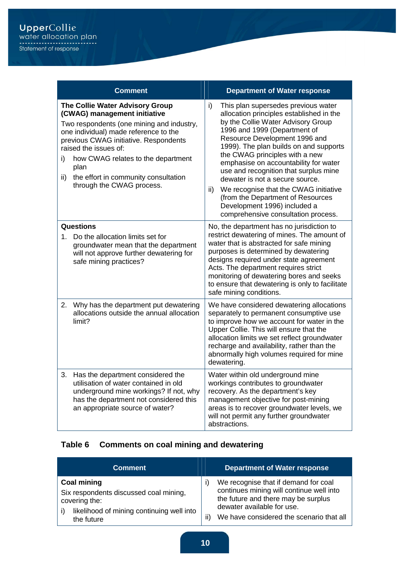|           | <b>Comment</b>                                                                                                                                                                                                                                                                                                                             | <b>Department of Water response</b>                                                                                                                                                                                                                                                                                                                                                                                                                                                                                                                       |
|-----------|--------------------------------------------------------------------------------------------------------------------------------------------------------------------------------------------------------------------------------------------------------------------------------------------------------------------------------------------|-----------------------------------------------------------------------------------------------------------------------------------------------------------------------------------------------------------------------------------------------------------------------------------------------------------------------------------------------------------------------------------------------------------------------------------------------------------------------------------------------------------------------------------------------------------|
| i)<br>ii) | The Collie Water Advisory Group<br>(CWAG) management initiative<br>Two respondents (one mining and industry,<br>one individual) made reference to the<br>previous CWAG initiative. Respondents<br>raised the issues of:<br>how CWAG relates to the department<br>plan<br>the effort in community consultation<br>through the CWAG process. | This plan supersedes previous water<br>i)<br>allocation principles established in the<br>by the Collie Water Advisory Group<br>1996 and 1999 (Department of<br>Resource Development 1996 and<br>1999). The plan builds on and supports<br>the CWAG principles with a new<br>emphasise on accountability for water<br>use and recognition that surplus mine<br>dewater is not a secure source.<br>We recognise that the CWAG initiative<br>ii)<br>(from the Department of Resources<br>Development 1996) included a<br>comprehensive consultation process. |
|           | Questions                                                                                                                                                                                                                                                                                                                                  | No, the department has no jurisdiction to                                                                                                                                                                                                                                                                                                                                                                                                                                                                                                                 |
| 1.        | Do the allocation limits set for<br>groundwater mean that the department<br>will not approve further dewatering for<br>safe mining practices?                                                                                                                                                                                              | restrict dewatering of mines. The amount of<br>water that is abstracted for safe mining<br>purposes is determined by dewatering<br>designs required under state agreement<br>Acts. The department requires strict<br>monitoring of dewatering bores and seeks<br>to ensure that dewatering is only to facilitate<br>safe mining conditions.                                                                                                                                                                                                               |
| 2.        | Why has the department put dewatering<br>allocations outside the annual allocation<br>limit?                                                                                                                                                                                                                                               | We have considered dewatering allocations<br>separately to permanent consumptive use<br>to improve how we account for water in the<br>Upper Collie. This will ensure that the<br>allocation limits we set reflect groundwater<br>recharge and availability, rather than the<br>abnormally high volumes required for mine<br>dewatering.                                                                                                                                                                                                                   |
| 3.        | Has the department considered the<br>utilisation of water contained in old<br>underground mine workings? If not, why<br>has the department not considered this<br>an appropriate source of water?                                                                                                                                          | Water within old underground mine<br>workings contributes to groundwater<br>recovery. As the department's key<br>management objective for post-mining<br>areas is to recover groundwater levels, we<br>will not permit any further groundwater<br>abstractions.                                                                                                                                                                                                                                                                                           |

## **Table 6 Comments on coal mining and dewatering**

| <b>Comment</b>                                                                                                                           | <b>Department of Water response</b>                                                                                                                                                                      |
|------------------------------------------------------------------------------------------------------------------------------------------|----------------------------------------------------------------------------------------------------------------------------------------------------------------------------------------------------------|
| <b>Coal mining</b><br>Six respondents discussed coal mining,<br>covering the:<br>likelihood of mining continuing well into<br>the future | We recognise that if demand for coal<br>continues mining will continue well into<br>the future and there may be surplus<br>dewater available for use.<br>We have considered the scenario that all<br>ii) |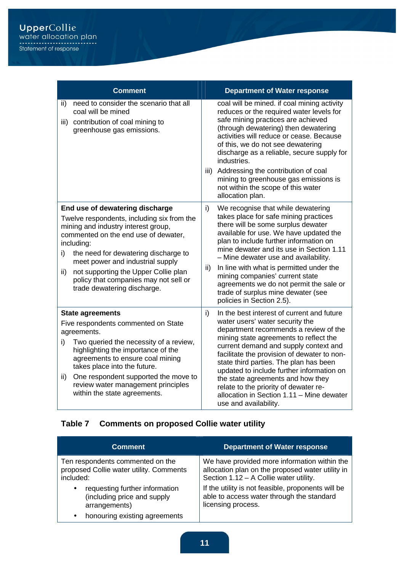| <b>Comment</b>                                                                                                                                                                                                                                                                                                                                                                      | <b>Department of Water response</b>                                                                                                                                                                                                                                                                                                                                                                                                                                                                       |
|-------------------------------------------------------------------------------------------------------------------------------------------------------------------------------------------------------------------------------------------------------------------------------------------------------------------------------------------------------------------------------------|-----------------------------------------------------------------------------------------------------------------------------------------------------------------------------------------------------------------------------------------------------------------------------------------------------------------------------------------------------------------------------------------------------------------------------------------------------------------------------------------------------------|
| need to consider the scenario that all<br>ii)<br>coal will be mined<br>contribution of coal mining to<br>iii)<br>greenhouse gas emissions.                                                                                                                                                                                                                                          | coal will be mined. if coal mining activity<br>reduces or the required water levels for<br>safe mining practices are achieved<br>(through dewatering) then dewatering<br>activities will reduce or cease. Because<br>of this, we do not see dewatering<br>discharge as a reliable, secure supply for<br>industries.<br>Addressing the contribution of coal<br>iii)                                                                                                                                        |
|                                                                                                                                                                                                                                                                                                                                                                                     | mining to greenhouse gas emissions is<br>not within the scope of this water<br>allocation plan.                                                                                                                                                                                                                                                                                                                                                                                                           |
| End use of dewatering discharge<br>Twelve respondents, including six from the<br>mining and industry interest group,<br>commented on the end use of dewater,<br>including:<br>the need for dewatering discharge to<br>i)<br>meet power and industrial supply<br>not supporting the Upper Collie plan<br>ii)<br>policy that companies may not sell or<br>trade dewatering discharge. | i)<br>We recognise that while dewatering<br>takes place for safe mining practices<br>there will be some surplus dewater<br>available for use. We have updated the<br>plan to include further information on<br>mine dewater and its use in Section 1.11<br>- Mine dewater use and availability.<br>ii)<br>In line with what is permitted under the<br>mining companies' current state<br>agreements we do not permit the sale or<br>trade of surplus mine dewater (see<br>policies in Section 2.5).       |
| <b>State agreements</b><br>Five respondents commented on State<br>agreements.<br>Two queried the necessity of a review,<br>i)<br>highlighting the importance of the<br>agreements to ensure coal mining<br>takes place into the future.<br>One respondent supported the move to<br>ii)<br>review water management principles<br>within the state agreements.                        | i)<br>In the best interest of current and future<br>water users' water security the<br>department recommends a review of the<br>mining state agreements to reflect the<br>current demand and supply context and<br>facilitate the provision of dewater to non-<br>state third parties. The plan has been<br>updated to include further information on<br>the state agreements and how they<br>relate to the priority of dewater re-<br>allocation in Section 1.11 - Mine dewater<br>use and availability. |

## **Table 7 Comments on proposed Collie water utility**

| <b>Comment</b>                                                                              | <b>Department of Water response</b>                                                                                                        |
|---------------------------------------------------------------------------------------------|--------------------------------------------------------------------------------------------------------------------------------------------|
| Ten respondents commented on the<br>proposed Collie water utility. Comments<br>included:    | We have provided more information within the<br>allocation plan on the proposed water utility in<br>Section 1.12 - A Collie water utility. |
| requesting further information<br>$\bullet$<br>(including price and supply<br>arrangements) | If the utility is not feasible, proponents will be<br>able to access water through the standard<br>licensing process.                      |
| honouring existing agreements<br>$\bullet$                                                  |                                                                                                                                            |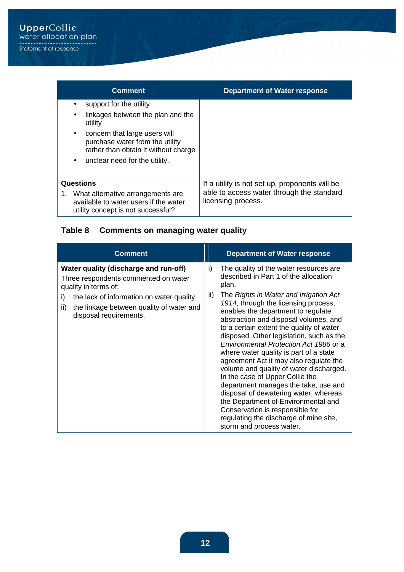| <b>Comment</b>                                                                                                                                                                                                                                                   | <b>Department of Water response</b>                             |
|------------------------------------------------------------------------------------------------------------------------------------------------------------------------------------------------------------------------------------------------------------------|-----------------------------------------------------------------|
| support for the utility<br>٠<br>linkages between the plan and the<br>$\bullet$<br>utility<br>concern that large users will<br>$\bullet$<br>purchase water from the utility<br>rather than obtain it without charge<br>unclear need for the utility.<br>$\bullet$ |                                                                 |
| Questions                                                                                                                                                                                                                                                        | If a utility is not set up, proponents will be                  |
| What alternative arrangements are<br>available to water users if the water<br>utility concept is not successful?                                                                                                                                                 | able to access water through the standard<br>licensing process. |

## **Table 8 Comments on managing water quality**

| <b>Comment</b>                                                                                                                                                                                                                       | <b>Department of Water response</b>                                                                                                                                                                                                                                                                                                                                                                                                                                                                                                                                                                                                                                                                                                                                                                         |
|--------------------------------------------------------------------------------------------------------------------------------------------------------------------------------------------------------------------------------------|-------------------------------------------------------------------------------------------------------------------------------------------------------------------------------------------------------------------------------------------------------------------------------------------------------------------------------------------------------------------------------------------------------------------------------------------------------------------------------------------------------------------------------------------------------------------------------------------------------------------------------------------------------------------------------------------------------------------------------------------------------------------------------------------------------------|
| Water quality (discharge and run-off)<br>Three respondents commented on water<br>quality in terms of:<br>i)<br>the lack of information on water quality<br>the linkage between quality of water and<br>ii)<br>disposal requirements. | The quality of the water resources are<br>i)<br>described in Part 1 of the allocation<br>plan.<br>The Rights in Water and Irrigation Act<br>ii)<br>1914, through the licensing process,<br>enables the department to regulate<br>abstraction and disposal volumes, and<br>to a certain extent the quality of water<br>disposed. Other legislation, such as the<br>Environmental Protection Act 1986 or a<br>where water quality is part of a state<br>agreement Act it may also regulate the<br>volume and quality of water discharged.<br>In the case of Upper Collie the<br>department manages the take, use and<br>disposal of dewatering water, whereas<br>the Department of Environmental and<br>Conservation is responsible for<br>regulating the discharge of mine site,<br>storm and process water. |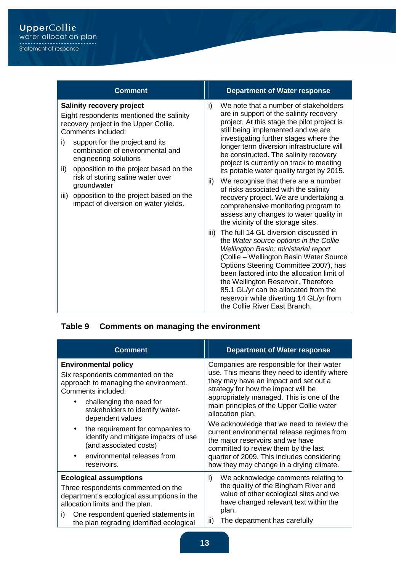| <b>Comment</b>                                                                                                                                                                                                                                                                                                                                                                                                                                   | <b>Department of Water response</b>                                                                                                                                                                                                                                                                                                                                                                                                                                                                                                                                                                                                                                                                                                                                                                                                                                                                                                                                                                                                                                                           |
|--------------------------------------------------------------------------------------------------------------------------------------------------------------------------------------------------------------------------------------------------------------------------------------------------------------------------------------------------------------------------------------------------------------------------------------------------|-----------------------------------------------------------------------------------------------------------------------------------------------------------------------------------------------------------------------------------------------------------------------------------------------------------------------------------------------------------------------------------------------------------------------------------------------------------------------------------------------------------------------------------------------------------------------------------------------------------------------------------------------------------------------------------------------------------------------------------------------------------------------------------------------------------------------------------------------------------------------------------------------------------------------------------------------------------------------------------------------------------------------------------------------------------------------------------------------|
| <b>Salinity recovery project</b><br>Eight respondents mentioned the salinity<br>recovery project in the Upper Collie.<br>Comments included:<br>support for the project and its<br>i)<br>combination of environmental and<br>engineering solutions<br>opposition to the project based on the<br>ii)<br>risk of storing saline water over<br>groundwater<br>opposition to the project based on the<br>iii)<br>impact of diversion on water yields. | We note that a number of stakeholders<br>i)<br>are in support of the salinity recovery<br>project. At this stage the pilot project is<br>still being implemented and we are<br>investigating further stages where the<br>longer term diversion infrastructure will<br>be constructed. The salinity recovery<br>project is currently on track to meeting<br>its potable water quality target by 2015.<br>We recognise that there are a number<br>ii)<br>of risks associated with the salinity<br>recovery project. We are undertaking a<br>comprehensive monitoring program to<br>assess any changes to water quality in<br>the vicinity of the storage sites.<br>The full 14 GL diversion discussed in<br>iii)<br>the Water source options in the Collie<br>Wellington Basin: ministerial report<br>(Collie - Wellington Basin Water Source<br>Options Steering Committee 2007), has<br>been factored into the allocation limit of<br>the Wellington Reservoir. Therefore<br>85.1 GL/yr can be allocated from the<br>reservoir while diverting 14 GL/yr from<br>the Collie River East Branch. |

## **Table 9 Comments on managing the environment**

| <b>Comment</b>                                                                                                                                                                                                                                                                                                                                                                     | <b>Department of Water response</b>                                                                                                                                                                                                                                                                                                                                                                                                                                                                                                                     |
|------------------------------------------------------------------------------------------------------------------------------------------------------------------------------------------------------------------------------------------------------------------------------------------------------------------------------------------------------------------------------------|---------------------------------------------------------------------------------------------------------------------------------------------------------------------------------------------------------------------------------------------------------------------------------------------------------------------------------------------------------------------------------------------------------------------------------------------------------------------------------------------------------------------------------------------------------|
| <b>Environmental policy</b><br>Six respondents commented on the<br>approach to managing the environment.<br>Comments included:<br>challenging the need for<br>stakeholders to identify water-<br>dependent values<br>the requirement for companies to<br>$\bullet$<br>identify and mitigate impacts of use<br>(and associated costs)<br>environmental releases from<br>reservoirs. | Companies are responsible for their water<br>use. This means they need to identify where<br>they may have an impact and set out a<br>strategy for how the impact will be<br>appropriately managed. This is one of the<br>main principles of the Upper Collie water<br>allocation plan.<br>We acknowledge that we need to review the<br>current environmental release regimes from<br>the major reservoirs and we have<br>committed to review them by the last<br>quarter of 2009. This includes considering<br>how they may change in a drying climate. |
| <b>Ecological assumptions</b><br>Three respondents commented on the<br>department's ecological assumptions in the<br>allocation limits and the plan.<br>One respondent queried statements in<br>i)<br>the plan regrading identified ecological                                                                                                                                     | We acknowledge comments relating to<br>i)<br>the quality of the Bingham River and<br>value of other ecological sites and we<br>have changed relevant text within the<br>plan.<br>The department has carefully<br>ii)                                                                                                                                                                                                                                                                                                                                    |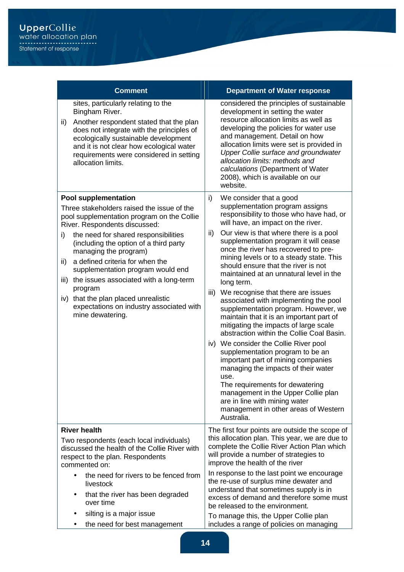|                   | <b>Comment</b>                                                                                                                                                                                                                                                                                                                                                                                                                                                                                           | <b>Department of Water response</b>                                                                                                                                                                                                                                                                                                                                                                                                                                                                                                                                                                                                                                                                                                                                                                                                                                                                                                                                                                                               |
|-------------------|----------------------------------------------------------------------------------------------------------------------------------------------------------------------------------------------------------------------------------------------------------------------------------------------------------------------------------------------------------------------------------------------------------------------------------------------------------------------------------------------------------|-----------------------------------------------------------------------------------------------------------------------------------------------------------------------------------------------------------------------------------------------------------------------------------------------------------------------------------------------------------------------------------------------------------------------------------------------------------------------------------------------------------------------------------------------------------------------------------------------------------------------------------------------------------------------------------------------------------------------------------------------------------------------------------------------------------------------------------------------------------------------------------------------------------------------------------------------------------------------------------------------------------------------------------|
| ii)               | sites, particularly relating to the<br>Bingham River.<br>Another respondent stated that the plan<br>does not integrate with the principles of<br>ecologically sustainable development<br>and it is not clear how ecological water<br>requirements were considered in setting<br>allocation limits.                                                                                                                                                                                                       | considered the principles of sustainable<br>development in setting the water<br>resource allocation limits as well as<br>developing the policies for water use<br>and management. Detail on how<br>allocation limits were set is provided in<br><b>Upper Collie surface and groundwater</b><br>allocation limits: methods and<br>calculations (Department of Water<br>2008), which is available on our<br>website.                                                                                                                                                                                                                                                                                                                                                                                                                                                                                                                                                                                                                |
| i)<br>ii)<br>iii) | <b>Pool supplementation</b><br>Three stakeholders raised the issue of the<br>pool supplementation program on the Collie<br>River. Respondents discussed:<br>the need for shared responsibilities<br>(including the option of a third party<br>managing the program)<br>a defined criteria for when the<br>supplementation program would end<br>the issues associated with a long-term<br>program<br>iv) that the plan placed unrealistic<br>expectations on industry associated with<br>mine dewatering. | i)<br>We consider that a good<br>supplementation program assigns<br>responsibility to those who have had, or<br>will have, an impact on the river.<br>Our view is that where there is a pool<br>ii)<br>supplementation program it will cease<br>once the river has recovered to pre-<br>mining levels or to a steady state. This<br>should ensure that the river is not<br>maintained at an unnatural level in the<br>long term.<br>iii) We recognise that there are issues<br>associated with implementing the pool<br>supplementation program. However, we<br>maintain that it is an important part of<br>mitigating the impacts of large scale<br>abstraction within the Collie Coal Basin.<br>iv) We consider the Collie River pool<br>supplementation program to be an<br>important part of mining companies<br>managing the impacts of their water<br>use.<br>The requirements for dewatering<br>management in the Upper Collie plan<br>are in line with mining water<br>management in other areas of Western<br>Australia. |
|                   | <b>River health</b><br>Two respondents (each local individuals)<br>discussed the health of the Collie River with<br>respect to the plan. Respondents<br>commented on:<br>the need for rivers to be fenced from<br>$\bullet$<br>livestock<br>that the river has been degraded<br>$\bullet$                                                                                                                                                                                                                | The first four points are outside the scope of<br>this allocation plan. This year, we are due to<br>complete the Collie River Action Plan which<br>will provide a number of strategies to<br>improve the health of the river<br>In response to the last point we encourage<br>the re-use of surplus mine dewater and<br>understand that sometimes supply is in<br>excess of demand and therefore some must                                                                                                                                                                                                                                                                                                                                                                                                                                                                                                                                                                                                                        |
|                   | over time<br>silting is a major issue<br>the need for best management                                                                                                                                                                                                                                                                                                                                                                                                                                    | be released to the environment.<br>To manage this, the Upper Collie plan<br>includes a range of policies on managing                                                                                                                                                                                                                                                                                                                                                                                                                                                                                                                                                                                                                                                                                                                                                                                                                                                                                                              |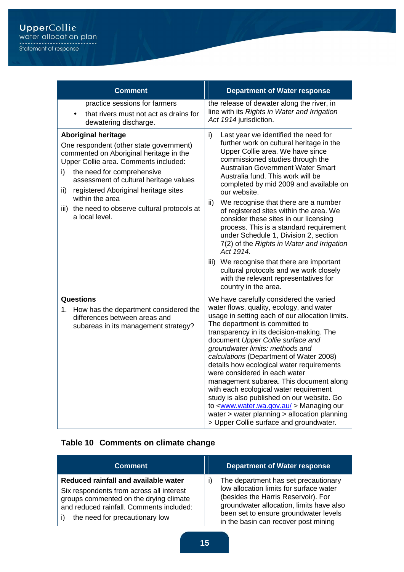| <b>Comment</b>                                                                                                                                                                                                                                                                                                                                                                   | <b>Department of Water response</b>                                                                                                                                                                                                                                                                                                                                                                                                                                                                                                                                                                                                                                                                                           |
|----------------------------------------------------------------------------------------------------------------------------------------------------------------------------------------------------------------------------------------------------------------------------------------------------------------------------------------------------------------------------------|-------------------------------------------------------------------------------------------------------------------------------------------------------------------------------------------------------------------------------------------------------------------------------------------------------------------------------------------------------------------------------------------------------------------------------------------------------------------------------------------------------------------------------------------------------------------------------------------------------------------------------------------------------------------------------------------------------------------------------|
| practice sessions for farmers<br>that rivers must not act as drains for<br>dewatering discharge.                                                                                                                                                                                                                                                                                 | the release of dewater along the river, in<br>line with its Rights in Water and Irrigation<br>Act 1914 jurisdiction.                                                                                                                                                                                                                                                                                                                                                                                                                                                                                                                                                                                                          |
| <b>Aboriginal heritage</b><br>One respondent (other state government)<br>commented on Aboriginal heritage in the<br>Upper Collie area. Comments included:<br>the need for comprehensive<br>i)<br>assessment of cultural heritage values<br>registered Aboriginal heritage sites<br>ii)<br>within the area<br>the need to observe cultural protocols at<br>iii)<br>a local level. | i)<br>Last year we identified the need for<br>further work on cultural heritage in the<br>Upper Collie area. We have since<br>commissioned studies through the<br>Australian Government Water Smart<br>Australia fund. This work will be<br>completed by mid 2009 and available on<br>our website.<br>ii)<br>We recognise that there are a number<br>of registered sites within the area. We<br>consider these sites in our licensing<br>process. This is a standard requirement<br>under Schedule 1, Division 2, section<br>7(2) of the Rights in Water and Irrigation<br>Act 1914.<br>We recognise that there are important<br>iii)<br>cultural protocols and we work closely<br>with the relevant representatives for      |
|                                                                                                                                                                                                                                                                                                                                                                                  | country in the area.                                                                                                                                                                                                                                                                                                                                                                                                                                                                                                                                                                                                                                                                                                          |
| <b>Questions</b><br>How has the department considered the<br>1. .<br>differences between areas and<br>subareas in its management strategy?                                                                                                                                                                                                                                       | We have carefully considered the varied<br>water flows, quality, ecology, and water<br>usage in setting each of our allocation limits.<br>The department is committed to<br>transparency in its decision-making. The<br>document Upper Collie surface and<br>groundwater limits: methods and<br>calculations (Department of Water 2008)<br>details how ecological water requirements<br>were considered in each water<br>management subarea. This document along<br>with each ecological water requirement<br>study is also published on our website. Go<br>to <www.water.wa.gov.au> Managing our<br/>water &gt; water planning &gt; allocation planning<br/>&gt; Upper Collie surface and groundwater.</www.water.wa.gov.au> |

## **Table 10 Comments on climate change**

| <b>Comment</b>                                                                                                                                                                                           | <b>Department of Water response</b>                                                                                                                                                                                                                 |
|----------------------------------------------------------------------------------------------------------------------------------------------------------------------------------------------------------|-----------------------------------------------------------------------------------------------------------------------------------------------------------------------------------------------------------------------------------------------------|
| Reduced rainfall and available water<br>Six respondents from across all interest<br>groups commented on the drying climate<br>and reduced rainfall. Comments included:<br>the need for precautionary low | The department has set precautionary<br>low allocation limits for surface water<br>(besides the Harris Reservoir). For<br>groundwater allocation, limits have also<br>been set to ensure groundwater levels<br>in the basin can recover post mining |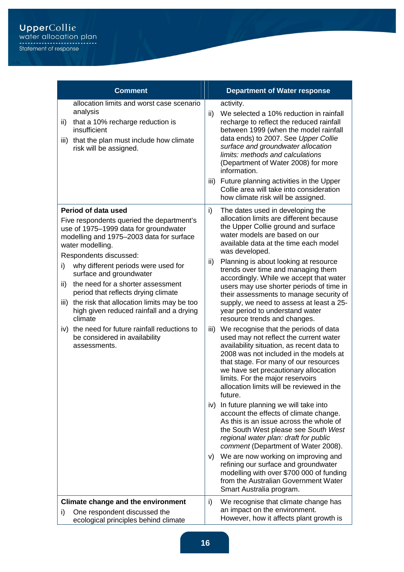| <b>Comment</b>                                                                                                                                                                                                                                                                                                                                                                                                                                                                                                                                                                 | <b>Department of Water response</b>                                                                                                                                                                                                                                                                                                                                                                                                                                                                                                                                                                                                                                                                                                                                                                                                                                                                                                                                                                                                                                                                                                                                                                                                                                                                                                                                                      |
|--------------------------------------------------------------------------------------------------------------------------------------------------------------------------------------------------------------------------------------------------------------------------------------------------------------------------------------------------------------------------------------------------------------------------------------------------------------------------------------------------------------------------------------------------------------------------------|------------------------------------------------------------------------------------------------------------------------------------------------------------------------------------------------------------------------------------------------------------------------------------------------------------------------------------------------------------------------------------------------------------------------------------------------------------------------------------------------------------------------------------------------------------------------------------------------------------------------------------------------------------------------------------------------------------------------------------------------------------------------------------------------------------------------------------------------------------------------------------------------------------------------------------------------------------------------------------------------------------------------------------------------------------------------------------------------------------------------------------------------------------------------------------------------------------------------------------------------------------------------------------------------------------------------------------------------------------------------------------------|
| allocation limits and worst case scenario<br>analysis<br>that a 10% recharge reduction is<br>ii)<br>insufficient<br>that the plan must include how climate<br>iii)<br>risk will be assigned.                                                                                                                                                                                                                                                                                                                                                                                   | activity.<br>We selected a 10% reduction in rainfall<br>ii)<br>recharge to reflect the reduced rainfall<br>between 1999 (when the model rainfall<br>data ends) to 2007. See Upper Collie<br>surface and groundwater allocation<br>limits: methods and calculations<br>(Department of Water 2008) for more<br>information.<br>iii) Future planning activities in the Upper<br>Collie area will take into consideration<br>how climate risk will be assigned.                                                                                                                                                                                                                                                                                                                                                                                                                                                                                                                                                                                                                                                                                                                                                                                                                                                                                                                              |
| Period of data used<br>Five respondents queried the department's<br>use of 1975-1999 data for groundwater<br>modelling and 1975-2003 data for surface<br>water modelling.<br>Respondents discussed:<br>why different periods were used for<br>i)<br>surface and groundwater<br>the need for a shorter assessment<br>ii)<br>period that reflects drying climate<br>the risk that allocation limits may be too<br>iii)<br>high given reduced rainfall and a drying<br>climate<br>iv) the need for future rainfall reductions to<br>be considered in availability<br>assessments. | The dates used in developing the<br>i)<br>allocation limits are different because<br>the Upper Collie ground and surface<br>water models are based on our<br>available data at the time each model<br>was developed.<br>Planning is about looking at resource<br>ii)<br>trends over time and managing them<br>accordingly. While we accept that water<br>users may use shorter periods of time in<br>their assessments to manage security of<br>supply, we need to assess at least a 25-<br>year period to understand water<br>resource trends and changes.<br>We recognise that the periods of data<br>iii)<br>used may not reflect the current water<br>availability situation, as recent data to<br>2008 was not included in the models at<br>that stage. For many of our resources<br>we have set precautionary allocation<br>limits. For the major reservoirs<br>allocation limits will be reviewed in the<br>future.<br>iv) In future planning we will take into<br>account the effects of climate change.<br>As this is an issue across the whole of<br>the South West please see South West<br>regional water plan: draft for public<br>comment (Department of Water 2008).<br>We are now working on improving and<br>V)<br>refining our surface and groundwater<br>modelling with over \$700 000 of funding<br>from the Australian Government Water<br>Smart Australia program. |
| Climate change and the environment<br>One respondent discussed the<br>i)<br>ecological principles behind climate                                                                                                                                                                                                                                                                                                                                                                                                                                                               | We recognise that climate change has<br>i)<br>an impact on the environment.<br>However, how it affects plant growth is                                                                                                                                                                                                                                                                                                                                                                                                                                                                                                                                                                                                                                                                                                                                                                                                                                                                                                                                                                                                                                                                                                                                                                                                                                                                   |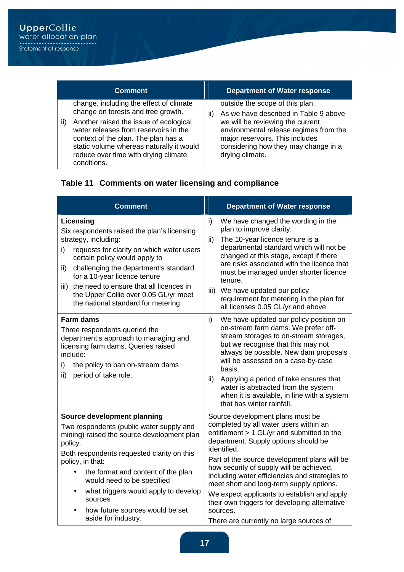| <b>Comment</b>                                                                                                                                                                                                                                                                                                    | <b>Department of Water response</b>                                                                                                                                                                                                                        |
|-------------------------------------------------------------------------------------------------------------------------------------------------------------------------------------------------------------------------------------------------------------------------------------------------------------------|------------------------------------------------------------------------------------------------------------------------------------------------------------------------------------------------------------------------------------------------------------|
| change, including the effect of climate<br>change on forests and tree growth.<br>Another raised the issue of ecological<br>ii)<br>water releases from reservoirs in the<br>context of the plan. The plan has a<br>static volume whereas naturally it would<br>reduce over time with drying climate<br>conditions. | outside the scope of this plan.<br>As we have described in Table 9 above<br>H)<br>we will be reviewing the current<br>environmental release regimes from the<br>major reservoirs. This includes<br>considering how they may change in a<br>drying climate. |

## **Table 11 Comments on water licensing and compliance**

| <b>Comment</b>                                                                                                                                                                                                                                                                                                                                                                          | <b>Department of Water response</b>                                                                                                                                                                                                                                                                                                                                                                                                                                                   |
|-----------------------------------------------------------------------------------------------------------------------------------------------------------------------------------------------------------------------------------------------------------------------------------------------------------------------------------------------------------------------------------------|---------------------------------------------------------------------------------------------------------------------------------------------------------------------------------------------------------------------------------------------------------------------------------------------------------------------------------------------------------------------------------------------------------------------------------------------------------------------------------------|
| Licensing<br>Six respondents raised the plan's licensing<br>strategy, including:<br>requests for clarity on which water users<br>i)<br>certain policy would apply to<br>challenging the department's standard<br>ii)<br>for a 10-year licence tenure<br>the need to ensure that all licences in<br>iii)<br>the Upper Collie over 0.05 GL/yr meet<br>the national standard for metering. | i)<br>We have changed the wording in the<br>plan to improve clarity.<br>The 10-year licence tenure is a<br>ii)<br>departmental standard which will not be<br>changed at this stage, except if there<br>are risks associated with the licence that<br>must be managed under shorter licence<br>tenure.<br>iii)<br>We have updated our policy<br>requirement for metering in the plan for<br>all licenses 0.05 GL/yr and above.                                                         |
| <b>Farm dams</b><br>Three respondents queried the<br>department's approach to managing and<br>licensing farm dams. Queries raised<br>include:<br>i)<br>the policy to ban on-stream dams<br>ii)<br>period of take rule.                                                                                                                                                                  | i)<br>We have updated our policy position on<br>on-stream farm dams. We prefer off-<br>stream storages to on-stream storages,<br>but we recognise that this may not<br>always be possible. New dam proposals<br>will be assessed on a case-by-case<br>basis.<br>Applying a period of take ensures that<br>ii)<br>water is abstracted from the system<br>when it is available, in line with a system<br>that has winter rainfall.                                                      |
| Source development planning<br>Two respondents (public water supply and<br>mining) raised the source development plan<br>policy.<br>Both respondents requested clarity on this<br>policy, in that:<br>the format and content of the plan<br>would need to be specified<br>what triggers would apply to develop<br>sources<br>how future sources would be set                            | Source development plans must be<br>completed by all water users within an<br>entitlement > 1 GL/yr and submitted to the<br>department. Supply options should be<br>identified.<br>Part of the source development plans will be<br>how security of supply will be achieved,<br>including water efficiencies and strategies to<br>meet short and long-term supply options.<br>We expect applicants to establish and apply<br>their own triggers for developing alternative<br>sources. |
| aside for industry.                                                                                                                                                                                                                                                                                                                                                                     | There are currently no large sources of                                                                                                                                                                                                                                                                                                                                                                                                                                               |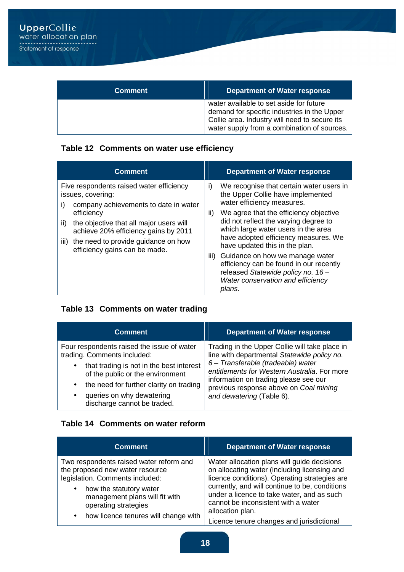| <b>Comment</b> | <b>Department of Water response</b>                                                                                                                                                    |
|----------------|----------------------------------------------------------------------------------------------------------------------------------------------------------------------------------------|
|                | water available to set aside for future<br>demand for specific industries in the Upper<br>Collie area. Industry will need to secure its<br>water supply from a combination of sources. |

## **Table 12 Comments on water use efficiency**

| <b>Comment</b>                                                                                                                                                                                                                                                                                       | <b>Department of Water response</b>                                                                                                                                                                                                                                                                                                                                                                                                                                                                  |
|------------------------------------------------------------------------------------------------------------------------------------------------------------------------------------------------------------------------------------------------------------------------------------------------------|------------------------------------------------------------------------------------------------------------------------------------------------------------------------------------------------------------------------------------------------------------------------------------------------------------------------------------------------------------------------------------------------------------------------------------------------------------------------------------------------------|
| Five respondents raised water efficiency<br>issues, covering:<br>i)<br>company achievements to date in water<br>efficiency<br>the objective that all major users will<br>ii)<br>achieve 20% efficiency gains by 2011<br>the need to provide guidance on how<br>iii)<br>efficiency gains can be made. | We recognise that certain water users in<br>i)<br>the Upper Collie have implemented<br>water efficiency measures.<br>We agree that the efficiency objective<br>ii)<br>did not reflect the varying degree to<br>which large water users in the area<br>have adopted efficiency measures. We<br>have updated this in the plan.<br>iii) Guidance on how we manage water<br>efficiency can be found in our recently<br>released Statewide policy no. 16 -<br>Water conservation and efficiency<br>plans. |

#### **Table 13 Comments on water trading**

| <b>Comment</b>                                                                                                                                                                                                                                                                                          | <b>Department of Water response</b>                                                                                                                                                                                                                                                                 |
|---------------------------------------------------------------------------------------------------------------------------------------------------------------------------------------------------------------------------------------------------------------------------------------------------------|-----------------------------------------------------------------------------------------------------------------------------------------------------------------------------------------------------------------------------------------------------------------------------------------------------|
| Four respondents raised the issue of water<br>trading. Comments included:<br>that trading is not in the best interest<br>$\bullet$<br>of the public or the environment<br>the need for further clarity on trading<br>$\bullet$<br>queries on why dewatering<br>$\bullet$<br>discharge cannot be traded. | Trading in the Upper Collie will take place in<br>line with departmental Statewide policy no.<br>6 - Transferable (tradeable) water<br>entitlements for Western Australia. For more<br>information on trading please see our<br>previous response above on Coal mining<br>and dewatering (Table 6). |

#### **Table 14 Comments on water reform**

| <b>Comment</b>                                                                                                                                                                                                  | <b>Department of Water response</b>                                                                                                                                                                                                                                                                     |
|-----------------------------------------------------------------------------------------------------------------------------------------------------------------------------------------------------------------|---------------------------------------------------------------------------------------------------------------------------------------------------------------------------------------------------------------------------------------------------------------------------------------------------------|
| Two respondents raised water reform and<br>the proposed new water resource<br>legislation. Comments included:<br>how the statutory water<br>$\bullet$<br>management plans will fit with<br>operating strategies | Water allocation plans will guide decisions<br>on allocating water (including licensing and<br>licence conditions). Operating strategies are<br>currently, and will continue to be, conditions<br>under a licence to take water, and as such<br>cannot be inconsistent with a water<br>allocation plan. |
| how licence tenures will change with<br>$\bullet$                                                                                                                                                               | Licence tenure changes and jurisdictional                                                                                                                                                                                                                                                               |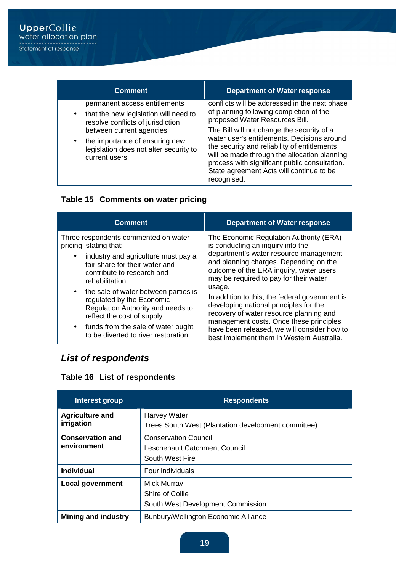| <b>Comment</b>                                                                                                                                                                                                                                                  | <b>Department of Water response</b>                                                                                                                                                                                                                                                                                                                                                                                                 |
|-----------------------------------------------------------------------------------------------------------------------------------------------------------------------------------------------------------------------------------------------------------------|-------------------------------------------------------------------------------------------------------------------------------------------------------------------------------------------------------------------------------------------------------------------------------------------------------------------------------------------------------------------------------------------------------------------------------------|
| permanent access entitlements<br>that the new legislation will need to<br>$\bullet$<br>resolve conflicts of jurisdiction<br>between current agencies<br>the importance of ensuring new<br>$\bullet$<br>legislation does not alter security to<br>current users. | conflicts will be addressed in the next phase<br>of planning following completion of the<br>proposed Water Resources Bill.<br>The Bill will not change the security of a<br>water user's entitlements. Decisions around<br>the security and reliability of entitlements<br>will be made through the allocation planning<br>process with significant public consultation.<br>State agreement Acts will continue to be<br>recognised. |

#### **Table 15 Comments on water pricing**

| <b>Comment</b>                                                                                                                                    | <b>Department of Water response</b>                                                                                                                                                      |
|---------------------------------------------------------------------------------------------------------------------------------------------------|------------------------------------------------------------------------------------------------------------------------------------------------------------------------------------------|
| Three respondents commented on water<br>pricing, stating that:                                                                                    | The Economic Regulation Authority (ERA)<br>is conducting an inquiry into the                                                                                                             |
| industry and agriculture must pay a<br>$\bullet$<br>fair share for their water and<br>contribute to research and<br>rehabilitation                | department's water resource management<br>and planning charges. Depending on the<br>outcome of the ERA inquiry, water users<br>may be required to pay for their water                    |
| the sale of water between parties is<br>$\bullet$<br>regulated by the Economic<br>Regulation Authority and needs to<br>reflect the cost of supply | usage.<br>In addition to this, the federal government is<br>developing national principles for the<br>recovery of water resource planning and<br>management costs. Once these principles |
| funds from the sale of water ought<br>$\bullet$<br>to be diverted to river restoration.                                                           | have been released, we will consider how to<br>best implement them in Western Australia.                                                                                                 |

## **List of respondents**

## **Table 16 List of respondents**

| Interest group                         | <b>Respondents</b>                                                              |
|----------------------------------------|---------------------------------------------------------------------------------|
| <b>Agriculture and</b><br>irrigation   | <b>Harvey Water</b><br>Trees South West (Plantation development committee)      |
| <b>Conservation and</b><br>environment | <b>Conservation Council</b><br>Leschenault Catchment Council<br>South West Fire |
| Individual                             | Four individuals                                                                |
| <b>Local government</b>                | <b>Mick Murray</b><br>Shire of Collie<br>South West Development Commission      |
| <b>Mining and industry</b>             | Bunbury/Wellington Economic Alliance                                            |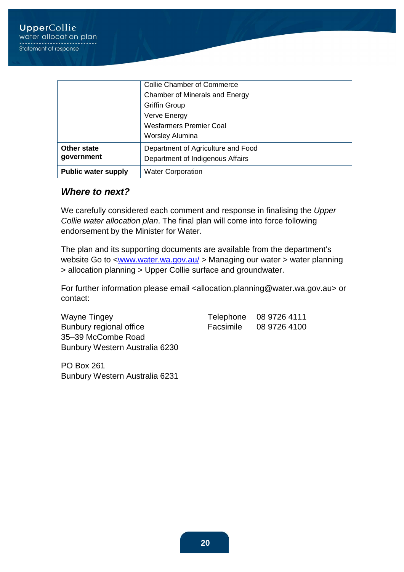|                            | <b>Collie Chamber of Commerce</b>  |
|----------------------------|------------------------------------|
|                            | Chamber of Minerals and Energy     |
|                            | <b>Griffin Group</b>               |
|                            | Verve Energy                       |
|                            | <b>Wesfarmers Premier Coal</b>     |
|                            | <b>Worsley Alumina</b>             |
| <b>Other state</b>         | Department of Agriculture and Food |
| government                 | Department of Indigenous Affairs   |
| <b>Public water supply</b> | <b>Water Corporation</b>           |

#### **Where to next?**

We carefully considered each comment and response in finalising the Upper Collie water allocation plan. The final plan will come into force following endorsement by the Minister for Water.

The plan and its supporting documents are available from the department's website Go to <www.water.wa.gov.au/ > Managing our water > water planning > allocation planning > Upper Collie surface and groundwater.

For further information please email <allocation.planning@water.wa.gov.au> or contact:

Wayne Tingey Telephone 08 9726 4111 Bunbury regional office Facsimile 08 9726 4100 35–39 McCombe Road Bunbury Western Australia 6230

PO Box 261 Bunbury Western Australia 6231